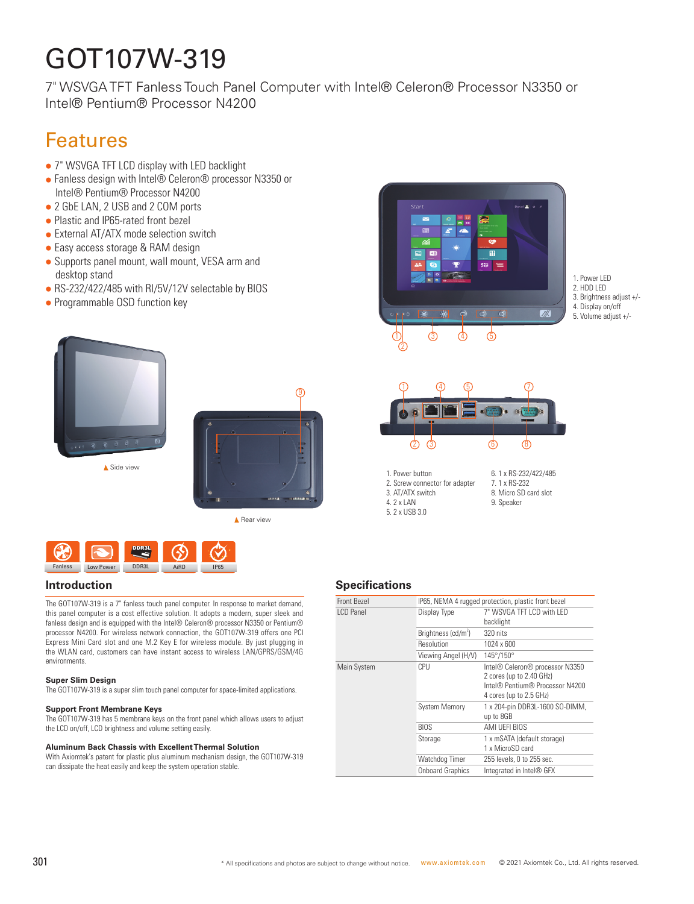# GOT107W-319

7" WSVGA TFT Fanless Touch Panel Computer with Intel® Celeron® Processor N3350 or Intel® Pentium® Processor N4200

## Features

- 7" WSVGA TFT LCD display with LED backlight
- Fanless design with Intel® Celeron® processor N3350 or Intel® Pentium® Processor N4200
- 2 GbE LAN, 2 USB and 2 COM ports
- Plastic and IP65-rated front bezel
- $\bullet$  External AT/ATX mode selection switch
- Easy access storage & RAM design
- Supports panel mount, wall mount, VESA arm and desktop stand
- RS-232/422/485 with RI/5V/12V selectable by BIOS
- Programmable OSD function key





▲ Rear view



The GOT107W-319 is a 7" fanless touch panel computer. In response to market demand, this panel computer is a cost effective solution. It adopts a modern, super sleek and fanless design and is equipped with the Intel® Celeron® processor N3350 or Pentium® processor N4200. For wireless network connection, the GOT107W-319 offers one PCI Express Mini Card slot and one M.2 Key E for wireless module. By just plugging in the WLAN card, customers can have instant access to wireless LAN/GPRS/GSM/4G environments.

#### **Super Slim Design**

The GOT107W-319 is a super slim touch panel computer for space-limited applications.

#### **Support Front Membrane Keys**

The GOT107W-319 has 5 membrane keys on the front panel which allows users to adjust the LCD on/off, LCD brightness and volume setting easily.

#### **Aluminum Back Chassis with Excellent Thermal Solution**

With Axiomtek's patent for plastic plus aluminum mechanism design, the GOT107W-319 can dissipate the heat easily and keep the system operation stable.



1. Power LED 2. HDD LED 3. Brightness adjust +/- 4. Display on/off 5. Volume adjust +/-



- 1. Power button 2. Screw connector for adapter 3. AT/ATX switch 4. 2 x LAN 5. 2 x USB 3.0
- 6. 1 x RS-232/422/485 7. 1 x RS-232 8. Micro SD card slot 9. Speaker

#### **Introduction Specifications**

| Front Bezel | IP65, NEMA 4 rugged protection, plastic front bezel |                                                                                                                           |
|-------------|-----------------------------------------------------|---------------------------------------------------------------------------------------------------------------------------|
| I CD Panel  | Display Type                                        | 7" WSVGA TFT I CD with I FD<br>backlight                                                                                  |
|             | Brightness (cd/m <sup>2</sup> )                     | 320 nits                                                                                                                  |
|             | Resolution                                          | 1024 x 600                                                                                                                |
|             | Viewing Angel (H/V)                                 | 145°/150°                                                                                                                 |
| Main System | CPU                                                 | Intel® Celeron® processor N3350<br>2 cores (up to 2.40 GHz)<br>Intel® Pentium® Processor N4200<br>4 cores (up to 2.5 GHz) |
|             | <b>System Memory</b>                                | 1 x 204-pin DDR3L-1600 SO-DIMM,<br>up to 8GB                                                                              |
|             | <b>BIOS</b>                                         | AMI UEFI BIOS                                                                                                             |
|             | Storage                                             | 1 x mSATA (default storage)<br>1 x MicroSD card                                                                           |
|             | Watchdog Timer                                      | 255 levels, 0 to 255 sec.                                                                                                 |
|             | <b>Onboard Graphics</b>                             | Integrated in Intel® GFX                                                                                                  |